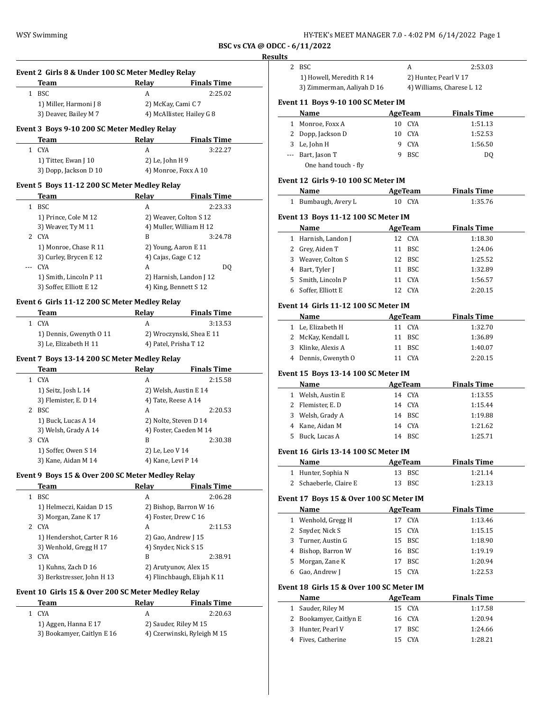| HY-TEK's MEET MANAGER 7.0 - 4:02 PM 6/14/2022 Page 1 |  |
|------------------------------------------------------|--|
|------------------------------------------------------|--|

**BSC vs CYA @ ODC** 

# **Resul**

 $\overline{\phantom{a}}$ 

| Team |                        | Relay | <b>Finals Time</b>        |
|------|------------------------|-------|---------------------------|
| BSC  |                        | А     | 2:25.02                   |
|      | 1) Miller, Harmoni J 8 |       | 2) McKay, Cami C 7        |
|      | 3) Deaver, Bailey M 7  |       | 4) McAllister, Hailey G 8 |

| Team                  | Relav           | <b>Finals Time</b>   |
|-----------------------|-----------------|----------------------|
| 1 CYA                 | A               | 3:22.27              |
| 1) Titter, Ewan J 10  | 2) Le, John H 9 |                      |
| 3) Dopp, Jackson D 10 |                 | 4) Monroe, Foxx A 10 |

# **Event 5 Boys 11-12 200 SC Meter Medley Relay**

|    | Team                    | Relay                   | <b>Finals Time</b> |
|----|-------------------------|-------------------------|--------------------|
| 1  | <b>BSC</b>              | A                       | 2:23.33            |
|    | 1) Prince, Cole M 12    | 2) Weaver, Colton S 12  |                    |
|    | 3) Weaver, Ty M 11      | 4) Muller, William H 12 |                    |
| 2. | CYA                     | B                       | 3:24.78            |
|    | 1) Monroe, Chase R 11   | 2) Young, Aaron E 11    |                    |
|    | 3) Curley, Brycen E 12  | 4) Cajas, Gage C 12     |                    |
|    | CYA                     | A                       | DO.                |
|    | 1) Smith, Lincoln P 11  | 2) Harnish, Landon J 12 |                    |
|    | 3) Soffer, Elliott E 12 | 4) King, Bennett S 12   |                    |
|    |                         |                         |                    |

# **Event 6 Girls 11-12 200 SC Meter Medley Relay**

| Team                    | Relav | <b>Finals Time</b>       |
|-------------------------|-------|--------------------------|
| 1 CYA                   |       | 3:13.53                  |
| 1) Dennis, Gwenyth 0 11 |       | 2) Wroczynski, Shea E 11 |
| 3) Le, Elizabeth H 11   |       | 4) Patel, Prisha T 12    |

# **Event 7 Boys 13-14 200 SC Meter Medley Relay**

|   | Team                  | Relav                  | <b>Finals Time</b> |
|---|-----------------------|------------------------|--------------------|
| 1 | <b>CYA</b>            | А                      | 2:15.58            |
|   | 1) Seitz, Josh L 14   | 2) Welsh, Austin E 14  |                    |
|   | 3) Flemister, E. D 14 | 4) Tate, Reese A 14    |                    |
| 2 | <b>BSC</b>            | A                      | 2:20.53            |
|   | 1) Buck, Lucas A 14   | 2) Nolte, Steven D 14  |                    |
|   | 3) Welsh, Grady A 14  | 4) Foster, Caeden M 14 |                    |
| 3 | <b>CYA</b>            | B                      | 2:30.38            |
|   | 1) Soffer, Owen S 14  | 2) Le, Leo V 14        |                    |
|   | 3) Kane, Aidan M 14   | 4) Kane, Levi P 14     |                    |
|   |                       |                        |                    |

# **Event 9 Boys 15 & Over 200 SC Meter Medley Relay**

|   | Team                       | Relav | <b>Finals Time</b>          |
|---|----------------------------|-------|-----------------------------|
|   | BSC                        | А     | 2:06.28                     |
|   | 1) Helmeczi, Kaidan D 15   |       | 2) Bishop, Barron W 16      |
|   | 3) Morgan, Zane K 17       |       | 4) Foster, Drew C 16        |
| 2 | CYA                        | A     | 2:11.53                     |
|   | 1) Hendershot, Carter R 16 |       | 2) Gao, Andrew $[15]$       |
|   | 3) Wenhold, Gregg H 17     |       | 4) Snyder, Nick S 15        |
| 3 | <b>CYA</b>                 | B     | 2:38.91                     |
|   | 1) Kuhns, Zach D 16        |       | 2) Arutyunov, Alex 15       |
|   | 3) Berkstresser, John H 13 |       | 4) Flinchbaugh, Elijah K 11 |

# **Event 10 Girls 15 & Over 200 SC Meter Medley Relay**

|    | Team                       | Relav | <b>Finals Time</b>          |
|----|----------------------------|-------|-----------------------------|
| 1. | CYA                        |       | 2:20.63                     |
|    | 1) Aggen, Hanna E 17       |       | 2) Sauder, Riley M 15       |
|    | 3) Bookamyer, Caitlyn E 16 |       | 4) Czerwinski, Ryleigh M 15 |

| ults |                                             |    |                |                           |
|------|---------------------------------------------|----|----------------|---------------------------|
| 2    | <b>BSC</b>                                  |    | A              | 2:53.03                   |
|      | 1) Howell, Meredith R 14                    |    |                | 2) Hunter, Pearl V 17     |
|      | 3) Zimmerman, Aaliyah D 16                  |    |                | 4) Williams, Charese L 12 |
|      | Event 11 Boys 9-10 100 SC Meter IM          |    |                |                           |
|      | Name                                        |    | <b>AgeTeam</b> | <b>Finals Time</b>        |
|      | 1 Monroe, Foxx A                            |    | 10 CYA         | 1:51.13                   |
|      | 2 Dopp, Jackson D                           |    | 10 CYA         | 1:52.53                   |
|      | 3 Le, John H                                |    | 9 CYA          | 1:56.50                   |
|      | --- Bart, Jason T<br>One hand touch - fly   |    | 9 BSC          | DQ                        |
|      |                                             |    |                |                           |
|      | Event 12 Girls 9-10 100 SC Meter IM<br>Name |    | <b>AgeTeam</b> | <b>Finals Time</b>        |
|      |                                             |    | 10 CYA         |                           |
| 1    | Bumbaugh, Avery L                           |    |                | 1:35.76                   |
|      | Event 13 Boys 11-12 100 SC Meter IM         |    |                |                           |
|      | Name                                        |    | <b>AgeTeam</b> | <b>Finals Time</b>        |
|      | 1 Harnish, Landon J                         |    | 12 CYA         | 1:18.30                   |
|      | 2 Grey, Aiden T                             | 11 | BSC            | 1:24.06                   |
|      | 3 Weaver, Colton S                          |    | 12 BSC         | 1:25.52                   |
|      | 4 Bart, Tyler J                             |    | 11 BSC         | 1:32.89                   |
|      | 5 Smith, Lincoln P                          |    | 11 CYA         | 1:56.57                   |
|      | 6 Soffer, Elliott E                         |    | 12 CYA         | 2:20.15                   |
|      | Event 14 Girls 11-12 100 SC Meter IM        |    |                |                           |
|      | Name                                        |    | <b>AgeTeam</b> | <b>Finals Time</b>        |
|      | 1 Le, Elizabeth H                           |    | 11 CYA         | 1:32.70                   |
|      | 2 McKay, Kendall L                          |    | 11 BSC         | 1:36.89                   |
|      | 3 Klinke, Alexis A                          |    | 11 BSC         | 1:40.07                   |
|      | 4 Dennis, Gwenyth O                         |    | 11 CYA         | 2:20.15                   |
|      | Event 15 Boys 13-14 100 SC Meter IM         |    |                |                           |
|      | Name                                        |    | <b>AgeTeam</b> | <b>Finals Time</b>        |
|      | 1 Welsh, Austin E                           |    | 14 CYA         | 1:13.55                   |
|      | 2 Flemister, E. D                           |    | 14 CYA         | 1:15.44                   |
|      | 3 Welsh, Grady A                            |    | 14 BSC         | 1:19.88                   |
|      | 4 Kane, Aidan M                             |    | 14 CYA         | 1:21.62                   |
| 5    | Buck, Lucas A                               |    | 14 BSC         | 1:25.71                   |
|      | Event 16 Girls 13-14 100 SC Meter IM        |    |                |                           |
|      | Name                                        |    | <b>AgeTeam</b> | <b>Finals Time</b>        |
|      | 1 Hunter, Sophia N                          |    | 13 BSC         | 1:21.14                   |
|      | 2 Schaeberle, Claire E                      | 13 | BSC            | 1:23.13                   |
|      | Event 17 Boys 15 & Over 100 SC Meter IM     |    |                |                           |
|      | Name                                        |    | AgeTeam        | <b>Finals Time</b>        |
| 1    | Wenhold, Gregg H                            | 17 | CYA            | 1:13.46                   |
|      | 2 Snyder, Nick S                            | 15 | CYA            | 1:15.15                   |
|      | 3 Turner, Austin G                          |    | 15 BSC         | 1:18.90                   |
|      | 4 Bishop, Barron W                          |    | 16 BSC         | 1:19.19                   |
|      | 5 Morgan, Zane K                            | 17 | <b>BSC</b>     | 1:20.94                   |
| 6    | Gao, Andrew J                               | 15 | CYA            | 1:22.53                   |
|      |                                             |    |                |                           |
|      | Event 18 Girls 15 & Over 100 SC Meter IM    |    |                |                           |
|      |                                             |    |                |                           |

| Name                   | AgeTeam | <b>Finals Time</b> |
|------------------------|---------|--------------------|
| 1 Sauder, Riley M      | 15 CYA  | 1:17.58            |
| 2 Bookamyer, Caitlyn E | 16 CYA  | 1:20.94            |
| 3 Hunter, Pearl V      | 17 BSC  | 1:24.66            |
| Fives, Catherine       | C.YA    | 1:28.21            |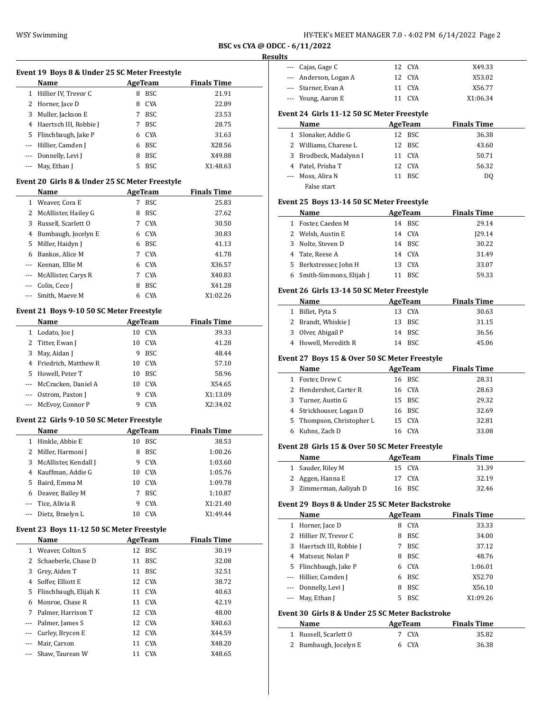| HY-TEK's MEET MANAGER 7.0 - 4:02 PM 6/14/2022 Page 2 |  |  |  |
|------------------------------------------------------|--|--|--|
|------------------------------------------------------|--|--|--|

#### **Results**

| Event 19 Boys 8 & Under 25 SC Meter Freestyle   |                                       |    |            |                    |  |  |  |
|-------------------------------------------------|---------------------------------------|----|------------|--------------------|--|--|--|
| <b>Name</b>                                     |                                       |    | AgeTeam    | <b>Finals Time</b> |  |  |  |
| 1                                               | Hillier IV, Trevor C                  | 8  | <b>BSC</b> | 21.91              |  |  |  |
|                                                 | 2 Horner, Jace D                      | 8  | <b>CYA</b> | 22.89              |  |  |  |
| 3                                               | Muller, Jackson E                     |    | BSC.       | 23.53              |  |  |  |
| 4                                               | Haertsch III, Robbie J                |    | <b>BSC</b> | 28.75              |  |  |  |
| 5.                                              | Flinchbaugh, Jake P                   | 6  | CYA        | 31.63              |  |  |  |
| ---                                             | Hillier, Camden J                     | 6  | BSC.       | X28.56             |  |  |  |
|                                                 | --- Donnelly, Levi J                  | 8  | BSC        | X49.88             |  |  |  |
|                                                 | May, Ethan J                          | 5. | <b>BSC</b> | X1:48.63           |  |  |  |
| Event 20  Girls 8 & Under 25 SC Meter Freestyle |                                       |    |            |                    |  |  |  |
|                                                 | <b>Finals Time</b><br>Name<br>AgeTeam |    |            |                    |  |  |  |

|          | 1 Weaver, Cora E        | 7 | BSC        | 25.83    |
|----------|-------------------------|---|------------|----------|
|          | 2 McAllister, Hailey G  | 8 | <b>BSC</b> | 27.62    |
| 3        | Russell, Scarlett O     | 7 | <b>CYA</b> | 30.50    |
| 4        | Bumbaugh, Jocelyn E     | 6 | CYA        | 30.83    |
| 5.       | Miller, Haidyn J        | 6 | <b>BSC</b> | 41.13    |
| 6        | Bankos, Alice M         | 7 | <b>CYA</b> | 41.78    |
|          | --- Keenan, Ellie M     | 6 | CYA        | X36.57   |
|          | --- McAllister, Carys R | 7 | CYA        | X40.83   |
| $\cdots$ | Colin, Cece J           | 8 | <b>BSC</b> | X41.28   |
|          | --- Smith, Maeve M      | 6 | CYA        | X1:02.26 |

# **Event 21 Boys 9-10 50 SC Meter Freestyle**

|    | Name                    |    | AgeTeam    | <b>Finals Time</b> |
|----|-------------------------|----|------------|--------------------|
| 1  | Lodato, Joe J           | 10 | <b>CYA</b> | 39.33              |
|    | 2 Titter, Ewan J        | 10 | <b>CYA</b> | 41.28              |
| 3  | May, Aidan J            | 9  | <b>BSC</b> | 48.44              |
|    | 4 Friedrich, Matthew R  | 10 | CYA        | 57.10              |
| 5. | Howell, Peter T         | 10 | <b>BSC</b> | 58.96              |
|    | --- McCracken, Daniel A | 10 | <b>CYA</b> | X54.65             |
|    | --- Ostrom, Paxton J    | 9  | <b>CYA</b> | X1:13.09           |
|    | --- McEvoy, Connor P    |    | CYA        | X2:34.02           |

#### **Event 22 Girls 9-10 50 SC Meter Freestyle**

|          | <b>Name</b>           | AgeTeam |            | <b>Finals Time</b> |
|----------|-----------------------|---------|------------|--------------------|
|          | Hinkle, Abbie E       | 10      | <b>BSC</b> | 38.53              |
| 2        | Miller, Harmoni J     | 8       | <b>BSC</b> | 1:00.26            |
| 3.       | McAllister, Kendall J | 9       | <b>CYA</b> | 1:03.60            |
| 4        | Kauffman, Addie G     | 10      | CYA        | 1:05.76            |
| 5.       | Baird, Emma M         | 10      | CYA        | 1:09.78            |
| 6        | Deaver, Bailey M      | 7       | <b>BSC</b> | 1:10.87            |
|          | --- Tice, Alivia R    | 9       | <b>CYA</b> | X1:21.40           |
| $\cdots$ | Dietz, Braelyn L      |         | CYA        | X1:49.44           |

# **Event 23 Boys 11-12 50 SC Meter Freestyle**

|              | Name                  |    | AgeTeam    | <b>Finals Time</b> |
|--------------|-----------------------|----|------------|--------------------|
| $\mathbf{1}$ | Weaver, Colton S      |    | 12 BSC     | 30.19              |
| 2            | Schaeberle, Chase D   | 11 | <b>BSC</b> | 32.08              |
| 3            | Grey, Aiden T         | 11 | <b>BSC</b> | 32.51              |
| 4            | Soffer. Elliott E     |    | 12 CYA     | 38.72              |
| 5.           | Flinchbaugh, Elijah K |    | 11 CYA     | 40.63              |
| 6            | Monroe, Chase R       |    | 11 CYA     | 42.19              |
| 7            | Palmer, Harrison T    |    | 12 CYA     | 48.00              |
|              | Palmer, James S       |    | 12 CYA     | X40.63             |
|              | Curley, Brycen E      |    | 12 CYA     | X44.59             |
|              | Mair, Carson          | 11 | <b>CYA</b> | X48.20             |
|              | Shaw, Taurean W       | 11 | <b>CYA</b> | X48.65             |
|              |                       |    |            |                    |

| --- Cajas, Gage C     | 12 CYA | X49.33   |
|-----------------------|--------|----------|
| --- Anderson, Logan A | 12 CYA | X53.02   |
| --- Starner, Evan A   | 11 CYA | X56.77   |
| --- Young, Aaron E    | 11 CYA | X1:06.34 |

#### **Event 24 Girls 11-12 50 SC Meter Freestyle**

| Name                   | AgeTeam |        | <b>Finals Time</b> |  |
|------------------------|---------|--------|--------------------|--|
| 1 Slonaker, Addie G    |         | 12 BSC | 36.38              |  |
| 2 Williams, Charese L  |         | 12 BSC | 43.60              |  |
| 3 Brodbeck, Madalynn I |         | 11 CYA | 50.71              |  |
| 4 Patel, Prisha T      |         | 12 CYA | 56.32              |  |
| --- Moss, Alira N      |         | 11 BSC | D <sub>0</sub>     |  |
| False start            |         |        |                    |  |

# **Event 25 Boys 13-14 50 SC Meter Freestyle**

|   | Name                      | AgeTeam |            | <b>Finals Time</b> |
|---|---------------------------|---------|------------|--------------------|
| 1 | Foster, Caeden M          |         | 14 BSC     | 29.14              |
|   | 2 Welsh, Austin E         |         | 14 CYA     | 129.14             |
|   | 3 Nolte, Steven D         |         | 14 BSC     | 30.22              |
|   | 4 Tate, Reese A           |         | 14 CYA     | 31.49              |
|   | 5 Berkstresser, John H    |         | 13 CYA     | 33.07              |
|   | 6 Smith-Simmons, Elijah J |         | <b>BSC</b> | 59.33              |

#### **Event 26 Girls 13-14 50 SC Meter Freestyle**

| Name                 | AgeTeam | <b>Finals Time</b> |
|----------------------|---------|--------------------|
| 1 Billet, Pyta S     | 13 CYA  | 30.63              |
| 2 Brandt, Whiskie J  | 13 BSC  | 31.15              |
| 3 Olver, Abigail P   | 14 BSC  | 36.56              |
| 4 Howell, Meredith R | 14 BSC  | 45.06              |

#### **Event 27 Boys 15 & Over 50 SC Meter Freestyle**

|   | Name                      | AgeTeam |        | <b>Finals Time</b> |
|---|---------------------------|---------|--------|--------------------|
| 1 | Foster, Drew C            |         | 16 BSC | 28.31              |
|   | 2 Hendershot, Carter R    |         | 16 CYA | 28.63              |
|   | 3 Turner, Austin G        |         | 15 BSC | 29.32              |
|   | 4 Strickhouser, Logan D   |         | 16 BSC | 32.69              |
|   | 5 Thompson, Christopher L |         | 15 CYA | 32.81              |
|   | Kuhns, Zach D             | 16.     | C.YA   | 33.08              |

#### **Event 28 Girls 15 & Over 50 SC Meter Freestyle**

| Name                   | AgeTeam | <b>Finals Time</b> |  |
|------------------------|---------|--------------------|--|
| 1 Sauder, Riley M      | 15 CYA  | 31.39              |  |
| 2 Aggen, Hanna E       | 17 CYA  | 32.19              |  |
| 3 Zimmerman, Aaliyah D | 16 BSC  | 32.46              |  |

# **Event 29 Boys 8 & Under 25 SC Meter Backstroke**

|   | Name                     | AgeTeam |            | <b>Finals Time</b> |
|---|--------------------------|---------|------------|--------------------|
| 1 | Horner, Jace D           | 8       | <b>CYA</b> | 33.33              |
|   | 2 Hillier IV, Trevor C   | 8       | <b>BSC</b> | 34.00              |
|   | 3 Haertsch III, Robbie J |         | <b>BSC</b> | 37.12              |
|   | 4 Matseur, Nolan P       | 8       | <b>BSC</b> | 48.76              |
|   | 5 Flinchbaugh, Jake P    | 6       | CYA        | 1:06.01            |
|   | --- Hillier, Camden J    | 6       | <b>BSC</b> | X52.70             |
|   | --- Donnelly, Levi J     | 8       | <b>BSC</b> | X56.10             |
|   | --- May, Ethan J         |         | <b>BSC</b> | X1:09.26           |

#### **Event 30 Girls 8 & Under 25 SC Meter Backstroke**

| Name                  | AgeTeam | <b>Finals Time</b> |  |
|-----------------------|---------|--------------------|--|
| 1 Russell, Scarlett 0 | 7 CYA   | 35.82              |  |
| 2 Bumbaugh, Jocelyn E | 6 CYA   | 36.38              |  |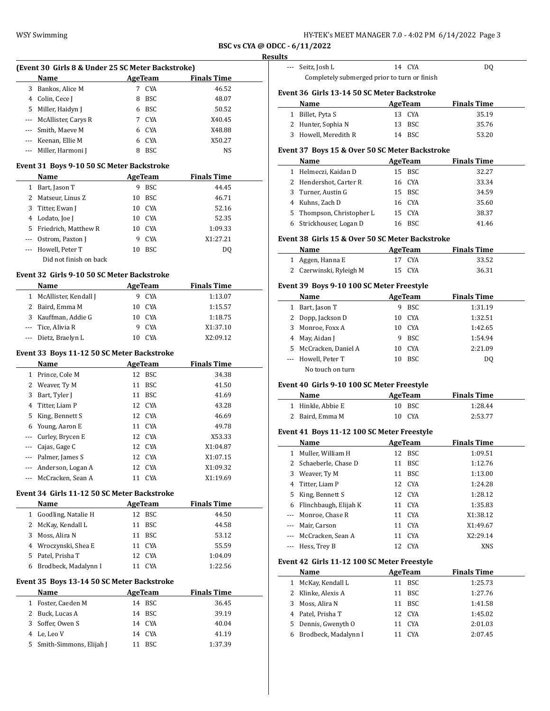| HY-TEK's MEET MANAGER 7.0 - 4:02 PM 6/14/2022 Page 3 |  |  |
|------------------------------------------------------|--|--|
|------------------------------------------------------|--|--|

#### **Results**

| (Event 30 Girls 8 & Under 25 SC Meter Backstroke) |                                           |    |                |                    |  |  |  |  |  |
|---------------------------------------------------|-------------------------------------------|----|----------------|--------------------|--|--|--|--|--|
| <b>Finals Time</b><br>Name<br>AgeTeam             |                                           |    |                |                    |  |  |  |  |  |
| 3                                                 | Bankos, Alice M                           | 7  | CYA            | 46.52              |  |  |  |  |  |
| 4                                                 | Colin, Cece J                             | 8  | <b>BSC</b>     | 48.07              |  |  |  |  |  |
| 5.                                                | Miller, Haidyn J                          | 6  | BSC            | 50.52              |  |  |  |  |  |
| $\cdots$                                          | McAllister, Carys R                       | 7  | CYA            | X40.45             |  |  |  |  |  |
|                                                   | Smith, Maeve M                            | 6  | CYA            | X48.88             |  |  |  |  |  |
|                                                   | Keenan, Ellie M                           | 6  | CYA            | X50.27             |  |  |  |  |  |
|                                                   | Miller, Harmoni J                         | 8  | <b>BSC</b>     | NS.                |  |  |  |  |  |
|                                                   | Event 31 Boys 9-10 50 SC Meter Backstroke |    |                |                    |  |  |  |  |  |
|                                                   | Name                                      |    | <b>AgeTeam</b> | <b>Finals Time</b> |  |  |  |  |  |
| 1                                                 | Bart, Jason T                             | 9  | <b>BSC</b>     | 44.45              |  |  |  |  |  |
| 2                                                 | Matseur, Linus Z                          | 10 | <b>BSC</b>     | 46.71              |  |  |  |  |  |
| 3                                                 | Titter, Ewan J                            | 10 | CYA            | 52.16              |  |  |  |  |  |
| 4                                                 | Lodato Joe I                              |    | 10. CYA        | 52.35              |  |  |  |  |  |

|    | Event 31 Boys 9-10 50 SC Meter Backstroke |                    |            |         |  |  |  |
|----|-------------------------------------------|--------------------|------------|---------|--|--|--|
|    | <b>Name</b>                               | <b>Finals Time</b> |            |         |  |  |  |
| 1. | Bart, Jason T                             | 9                  | <b>BSC</b> | 44.45   |  |  |  |
|    | 2 Matseur, Linus Z                        | 10                 | BSC.       | 46.71   |  |  |  |
|    | 3 Titter, Ewan J                          |                    | 10 CYA     | 52.16   |  |  |  |
|    | 4 Lodato, Joe J                           | 10                 | CYA        | 52.35   |  |  |  |
|    | 5 Friedrich, Matthew R                    | 10                 | C.YA       | 1:09.33 |  |  |  |

--- Ostrom, Paxton J 9 CYA X1:27.21 --- Howell, Peter T 10 BSC DQ

#### **Event 32 Girls 9-10 50 SC Meter Backstroke**

Did not finish on back

| <b>Name</b>             |     | AgeTeam | <b>Finals Time</b> |
|-------------------------|-----|---------|--------------------|
| 1 McAllister, Kendall J | 9   | CYA     | 1:13.07            |
| 2 Baird, Emma M         | 10. | CYA     | 1:15.57            |
| 3 Kauffman, Addie G     | 10. | CYA     | 1:18.75            |
| --- Tice, Alivia R      | 9   | CYA     | X1:37.10           |
| --- Dietz, Braelyn L    | 10  | CYA     | X2:09.12           |

# **Event 33 Boys 11-12 50 SC Meter Backstroke**

|               | Name                 | AgeTeam |            | <b>Finals Time</b> |
|---------------|----------------------|---------|------------|--------------------|
| $\mathbf{1}$  | Prince, Cole M       |         | 12 BSC     | 34.38              |
|               | 2 Weaver, Ty M       | 11      | <b>BSC</b> | 41.50              |
| 3             | Bart, Tyler J        | 11      | BSC        | 41.69              |
|               | 4 Titter, Liam P     |         | 12 CYA     | 43.28              |
|               | 5 King, Bennett S    |         | 12 CYA     | 46.69              |
| 6             | Young, Aaron E       |         | 11 CYA     | 49.78              |
|               | --- Curley, Brycen E |         | 12 CYA     | X53.33             |
|               | Cajas, Gage C        |         | 12 CYA     | X1:04.87           |
|               | --- Palmer, James S  |         | 12 CYA     | X1:07.15           |
| $\cdots$      | Anderson, Logan A    |         | 12 CYA     | X1:09.32           |
| $\frac{1}{2}$ | McCracken, Sean A    | 11      | CYA        | X1:19.69           |

# **Event 34 Girls 11-12 50 SC Meter Backstroke**

| <b>Name</b>            | AgeTeam | <b>Finals Time</b> |  |
|------------------------|---------|--------------------|--|
| 1 Goodling, Natalie H  | 12 BSC  | 44.50              |  |
| 2 McKay, Kendall L     | 11 BSC  | 44.58              |  |
| 3 Moss, Alira N        | 11 BSC  | 53.12              |  |
| 4 Wroczynski, Shea E   | 11 CYA  | 55.59              |  |
| 5 Patel, Prisha T      | 12 CYA  | 1:04.09            |  |
| 6 Brodbeck, Madalynn I | CYA     | 1:22.56            |  |

# **Event 35 Boys 13-14 50 SC Meter Backstroke**

| <b>Name</b>               |    | AgeTeam | <b>Finals Time</b> |
|---------------------------|----|---------|--------------------|
| 1 Foster, Caeden M        |    | 14 BSC  | 36.45              |
| 2 Buck, Lucas A           |    | 14 BSC  | 39.19              |
| 3 Soffer, Owen S          |    | 14 CYA  | 40.04              |
| 4 Le, Leo V               |    | 14 CYA  | 41.19              |
| 5 Smith-Simmons, Elijah J | 11 | – BSC   | 1:37.39            |

|              | --- Seitz, Josh L                               |                | 14 CYA         | DQ                 |
|--------------|-------------------------------------------------|----------------|----------------|--------------------|
|              | Completely submerged prior to turn or finish    |                |                |                    |
|              | Event 36 Girls 13-14 50 SC Meter Backstroke     |                |                |                    |
|              | Name                                            |                | <b>AgeTeam</b> | Finals Time        |
|              | 1 Billet, Pyta S                                |                | 13 CYA         | 35.19              |
|              | 2 Hunter, Sophia N                              |                | 13 BSC         | 35.76              |
|              | 3 Howell, Meredith R                            |                | 14 BSC         | 53.20              |
|              |                                                 |                |                |                    |
|              | Event 37 Boys 15 & Over 50 SC Meter Backstroke  |                |                |                    |
|              | Name                                            |                | <b>AgeTeam</b> | <b>Finals Time</b> |
|              | 1 Helmeczi, Kaidan D                            |                | 15 BSC         | 32.27              |
|              | 2 Hendershot, Carter R                          |                | 16 CYA         | 33.34              |
|              | 3 Turner, Austin G                              |                | 15 BSC         | 34.59              |
|              | 4 Kuhns, Zach D                                 |                | 16 CYA         | 35.60              |
|              | 5 Thompson, Christopher L                       |                | 15 CYA         | 38.37              |
|              | 6 Strickhouser, Logan D                         |                | 16 BSC         | 41.46              |
|              | Event 38 Girls 15 & Over 50 SC Meter Backstroke |                |                |                    |
|              | Name                                            |                | AgeTeam        | <b>Finals Time</b> |
|              | 1 Aggen, Hanna E                                |                | 17 CYA         | 33.52              |
|              | 2 Czerwinski, Ryleigh M                         |                | 15 CYA         | 36.31              |
|              | Event 39 Boys 9-10 100 SC Meter Freestyle       |                |                |                    |
|              | Name                                            | <b>AgeTeam</b> |                | <b>Finals Time</b> |
|              | 1 Bart, Jason T                                 |                | 9 BSC          | 1:31.19            |
|              | 2 Dopp, Jackson D                               |                | 10 CYA         | 1:32.51            |
|              | 3 Monroe, Foxx A                                |                | 10 CYA         | 1:42.65            |
|              | 4 May, Aidan J                                  |                | 9 BSC          | 1:54.94            |
|              |                                                 |                |                |                    |
|              |                                                 |                |                |                    |
|              | 5 McCracken, Daniel A                           |                | 10 CYA         | 2:21.09            |
|              | --- Howell, Peter T<br>No touch on turn         |                | 10 BSC         | DQ                 |
|              |                                                 |                |                |                    |
|              | Event 40 Girls 9-10 100 SC Meter Freestyle      |                |                |                    |
|              | Name                                            |                | <b>AgeTeam</b> | <b>Finals Time</b> |
|              | 1 Hinkle, Abbie E                               |                | 10 BSC         | 1:28.44            |
|              | 2 Baird, Emma M                                 |                | 10 CYA         | 2:53.77            |
|              | Event 41 Boys 11-12 100 SC Meter Freestyle      |                |                |                    |
|              | Name                                            |                | AgeTeam        | <b>Finals Time</b> |
|              | 1 Muller, William H                             |                | 12 BSC         | 1:09.51            |
| 2            | Schaeberle, Chase D                             | 11             | BSC            | 1:12.76            |
| 3            | Weaver, Ty M                                    | 11             | <b>BSC</b>     | 1:13.00            |
| 4            | Titter, Liam P                                  | 12             | CYA            | 1:24.28            |
| 5            | King, Bennett S                                 |                | 12 CYA         | 1:28.12            |
|              | 6 Flinchbaugh, Elijah K                         |                | 11 CYA         | 1:35.83            |
| ---          | Monroe, Chase R                                 |                | 11 CYA         | X1:38.12           |
|              | --- Mair, Carson                                |                | 11 CYA         | X1:49.67           |
|              | --- McCracken, Sean A                           | 11             | CYA            | X2:29.14           |
| ---          | Hess, Trey B                                    | 12             | CYA            | XNS                |
|              | Event 42 Girls 11-12 100 SC Meter Freestyle     |                |                |                    |
|              | Name                                            |                | <b>AgeTeam</b> | <b>Finals Time</b> |
| $\mathbf{1}$ | McKay, Kendall L                                |                | 11 BSC         | 1:25.73            |
|              | 2 Klinke, Alexis A                              |                | 11 BSC         | 1:27.76            |
|              | 3 Moss, Alira N                                 |                | 11 BSC         | 1:41.58            |
|              | 4 Patel, Prisha T                               | 12             | CYA            | 1:45.02            |
|              | 5 Dennis, Gwenyth O                             | 11             | CYA            | 2:01.03            |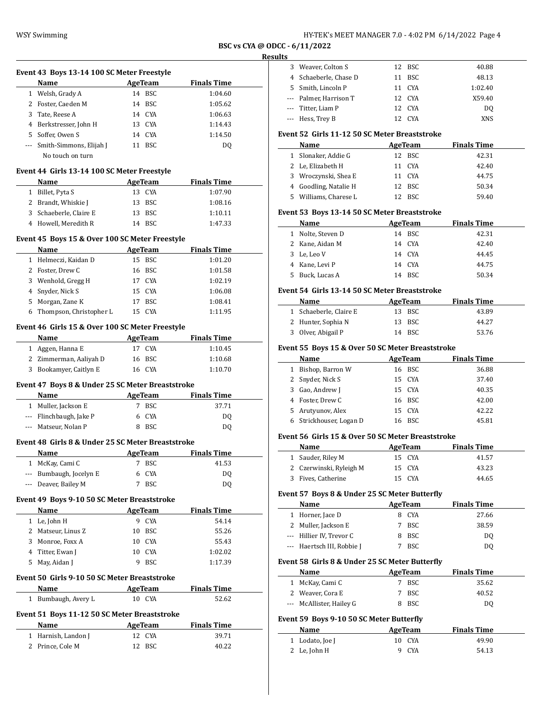| HY-TEK's MEET MANAGER 7.0 - 4:02 PM 6/14/2022 Page 4 |  |  |
|------------------------------------------------------|--|--|
|------------------------------------------------------|--|--|

 $\overline{a}$ 

 $\frac{1}{2}$ 

 $\overline{a}$ 

|     | Event 43 Boys 13-14 100 SC Meter Freestyle                                                                                                                                                                                    |    |                              |                             |
|-----|-------------------------------------------------------------------------------------------------------------------------------------------------------------------------------------------------------------------------------|----|------------------------------|-----------------------------|
|     | Name and the same state of the state of the state of the state of the state of the state of the state of the state of the state of the state of the state of the state of the state of the state of the state of the state of |    | <b>AgeTeam</b>               | <b>Finals Time</b>          |
|     | 1 Welsh, Grady A                                                                                                                                                                                                              |    | 14 BSC                       | 1:04.60                     |
|     | 2 Foster, Caeden M                                                                                                                                                                                                            |    | 14 BSC                       | 1:05.62                     |
|     | 3 Tate, Reese A                                                                                                                                                                                                               |    | 14 CYA                       | 1:06.63                     |
|     | 4 Berkstresser, John H                                                                                                                                                                                                        |    | 13 CYA                       | 1:14.43                     |
|     | 5 Soffer, Owen S                                                                                                                                                                                                              |    | 14 CYA                       | 1:14.50                     |
|     | --- Smith-Simmons, Elijah J<br>No touch on turn                                                                                                                                                                               |    | 11 BSC                       | DQ                          |
|     | Event 44 Girls 13-14 100 SC Meter Freestyle                                                                                                                                                                                   |    |                              |                             |
|     | Name                                                                                                                                                                                                                          |    | AgeTeam                      | <b>Finals Time</b>          |
|     | 1 Billet, Pyta S                                                                                                                                                                                                              |    | 13 CYA                       | 1:07.90                     |
|     | 2 Brandt, Whiskie J                                                                                                                                                                                                           |    | 13 BSC                       | 1:08.16                     |
|     | 3 Schaeberle, Claire E                                                                                                                                                                                                        |    | 13 BSC                       | 1:10.11                     |
|     | 4 Howell, Meredith R                                                                                                                                                                                                          |    | 14 BSC                       | 1:47.33                     |
|     | Event 45 Boys 15 & Over 100 SC Meter Freestyle                                                                                                                                                                                |    |                              |                             |
|     | Name                                                                                                                                                                                                                          |    | AgeTeam                      | <b>Finals Time</b>          |
|     | 1 Helmeczi, Kaidan D                                                                                                                                                                                                          |    | 15 BSC                       | 1:01.20                     |
|     | 2 Foster, Drew C                                                                                                                                                                                                              |    | 16 BSC                       | 1:01.58                     |
|     | 3 Wenhold, Gregg H                                                                                                                                                                                                            |    | 17 CYA                       | 1:02.19                     |
|     | 4 Snyder, Nick S                                                                                                                                                                                                              |    | 15 CYA                       | 1:06.08                     |
|     | 5 Morgan, Zane K                                                                                                                                                                                                              |    | 17 BSC                       | 1:08.41                     |
|     | 6 Thompson, Christopher L                                                                                                                                                                                                     |    | 15 CYA                       | 1:11.95                     |
|     | Event 46 Girls 15 & Over 100 SC Meter Freestyle                                                                                                                                                                               |    |                              |                             |
|     | Name                                                                                                                                                                                                                          |    | <b>AgeTeam</b>               | <b>Finals Time</b>          |
|     | 1 Aggen, Hanna E                                                                                                                                                                                                              |    | 17 CYA                       | 1:10.45                     |
|     | 2 Zimmerman, Aaliyah D                                                                                                                                                                                                        |    | 16 BSC                       | 1:10.68                     |
|     | 3 Bookamyer, Caitlyn E                                                                                                                                                                                                        |    | 16 CYA                       | 1:10.70                     |
|     | Event 47 Boys 8 & Under 25 SC Meter Breaststroke                                                                                                                                                                              |    |                              |                             |
|     | Name<br>1 Muller, Jackson E                                                                                                                                                                                                   |    | AgeTeam                      | <b>Finals Time</b><br>37.71 |
|     |                                                                                                                                                                                                                               |    | 7 BSC                        |                             |
|     | --- Flinchbaugh, Jake P                                                                                                                                                                                                       |    | 6 CYA                        | DQ                          |
|     | --- Matseur, Nolan P                                                                                                                                                                                                          |    | 8 BSC                        | DQ                          |
|     | Event 48 Girls 8 & Under 25 SC Meter Breaststroke<br><u>Name</u>                                                                                                                                                              |    |                              | <u>Finals Time</u>          |
| 1   | McKay, Cami C                                                                                                                                                                                                                 | 7  | <u>AgeTeam</u><br><b>BSC</b> | 41.53                       |
|     |                                                                                                                                                                                                                               | 6  |                              |                             |
|     | --- Bumbaugh, Jocelyn E                                                                                                                                                                                                       | 7  | CYA                          | DQ                          |
| --- | Deaver, Bailey M                                                                                                                                                                                                              |    | <b>BSC</b>                   | DQ                          |
|     | Event 49 Boys 9-10 50 SC Meter Breaststroke<br>Name                                                                                                                                                                           |    | AgeTeam                      | <b>Finals Time</b>          |
|     | 1 Le, John H                                                                                                                                                                                                                  |    | 9 CYA                        | 54.14                       |
|     | 2 Matseur, Linus Z                                                                                                                                                                                                            |    | 10 BSC                       | 55.26                       |
|     | 3 Monroe, Foxx A                                                                                                                                                                                                              | 10 |                              | 55.43                       |
|     |                                                                                                                                                                                                                               |    | CYA                          |                             |
|     | 4 Titter, Ewan J                                                                                                                                                                                                              | 10 | <b>CYA</b>                   | 1:02.02                     |
| 5   | May, Aidan J                                                                                                                                                                                                                  |    | 9 BSC                        | 1:17.39                     |
|     | Event 50 Girls 9-10 50 SC Meter Breaststroke<br>Name                                                                                                                                                                          |    | AgeTeam                      | <b>Finals Time</b>          |
|     | 1 Bumbaugh, Avery L                                                                                                                                                                                                           |    | 10 CYA                       | 52.62                       |
|     | Event 51 Boys 11-12 50 SC Meter Breaststroke                                                                                                                                                                                  |    |                              |                             |
|     |                                                                                                                                                                                                                               |    |                              |                             |
|     | Name                                                                                                                                                                                                                          |    | <b>AgeTeam</b>               | <b>Finals Time</b>          |
|     | 1 Harnish, Landon J                                                                                                                                                                                                           | 12 | CYA                          | 39.71                       |
|     | 2 Prince, Cole M                                                                                                                                                                                                              |    | 12 BSC                       | 40.22                       |

| <b>Results</b> |                        |        |                |  |
|----------------|------------------------|--------|----------------|--|
|                | 3 Weaver, Colton S     | 12 BSC | 40.88          |  |
|                | 4 Schaeberle, Chase D  | 11 BSC | 48.13          |  |
|                | 5 Smith, Lincoln P     | 11 CYA | 1:02.40        |  |
|                | --- Palmer, Harrison T | 12 CYA | X59.40         |  |
|                | --- Titter, Liam P     | 12 CYA | D <sub>0</sub> |  |
|                | --- Hess, Trey B       | C.YA   | XNS            |  |

# **Event 52 Girls 11-12 50 SC Meter Breaststroke**

| Name                  | AgeTeam | <b>Finals Time</b> |  |
|-----------------------|---------|--------------------|--|
| 1 Slonaker, Addie G   | 12 BSC  | 42.31              |  |
| 2 Le, Elizabeth H     | 11 CYA  | 42.40              |  |
| 3 Wroczynski, Shea E  | 11 CYA  | 44.75              |  |
| 4 Goodling, Natalie H | 12 BSC  | 50.34              |  |
| 5 Williams, Charese L | 12 BSC  | 59.40              |  |

# **Event 53 Boys 13-14 50 SC Meter Breaststroke**

| Name              | AgeTeam | <b>Finals Time</b> |
|-------------------|---------|--------------------|
| 1 Nolte, Steven D | 14 BSC  | 42.31              |
| 2 Kane, Aidan M   | 14 CYA  | 42.40              |
| 3 Le, Leo V       | 14 CYA  | 44.45              |
| 4 Kane, Levi P    | 14 CYA  | 44.75              |
| 5 Buck, Lucas A   | 14 BSC  | 50.34              |

#### **Event 54 Girls 13-14 50 SC Meter Breaststroke**

| Name                   | AgeTeam | <b>Finals Time</b> |
|------------------------|---------|--------------------|
| 1 Schaeberle, Claire E | 13 BSC  | 43.89              |
| 2 Hunter, Sophia N     | 13 BSC  | 44.27              |
| 3 Olver, Abigail P     | 14 BSC  | 53.76              |

#### **Event 55 Boys 15 & Over 50 SC Meter Breaststroke**

| Name                    | AgeTeam | <b>Finals Time</b> |
|-------------------------|---------|--------------------|
| 1 Bishop, Barron W      | 16 BSC  | 36.88              |
| 2 Snyder, Nick S        | 15 CYA  | 37.40              |
| 3 Gao, Andrew J         | 15 CYA  | 40.35              |
| 4 Foster, Drew C        | 16 BSC  | 42.00              |
| 5 Arutyunov, Alex       | 15 CYA  | 42.22              |
| 6 Strickhouser, Logan D | 16 BSC  | 45.81              |

#### **Event 56 Girls 15 & Over 50 SC Meter Breaststroke**

| Name                    | AgeTeam | <b>Finals Time</b> |
|-------------------------|---------|--------------------|
| 1 Sauder, Riley M       | 15 CYA  | 41.57              |
| 2 Czerwinski, Ryleigh M | 15 CYA  | 43.23              |
| 3 Fives, Catherine      | 15 CYA  | 44.65              |

#### **Event 57 Boys 8 & Under 25 SC Meter Butterfly**

|  | Name                       | AgeTeam    | <b>Finals Time</b> |
|--|----------------------------|------------|--------------------|
|  | 1 Horner, Jace D           | 8 CYA      | 27.66              |
|  | 2 Muller, Jackson E        | 7 BSC      | 38.59              |
|  | --- Hillier IV, Trevor C   | 8 BSC      | DO                 |
|  | --- Haertsch III, Robbie J | <b>BSC</b> | DΟ                 |

#### **Event 58 Girls 8 & Under 25 SC Meter Butterfly**

| Name                     | AgeTeam | <b>Finals Time</b> |
|--------------------------|---------|--------------------|
| 1 McKay, Cami C          | 7 BSC   | 35.62              |
| 2 Weaver, Cora E         | 7 BSC   | 40.52              |
| --- McAllister, Hailey G | 8 BSC   | D <sub>0</sub>     |

# **Event 59 Boys 9-10 50 SC Meter Butterfly**

| Name            | AgeTeam | <b>Finals Time</b> |  |
|-----------------|---------|--------------------|--|
| 1 Lodato, Joe J | 10 CYA  | 49.90              |  |
| 2 Le, John H    | C.YA    | 54.13              |  |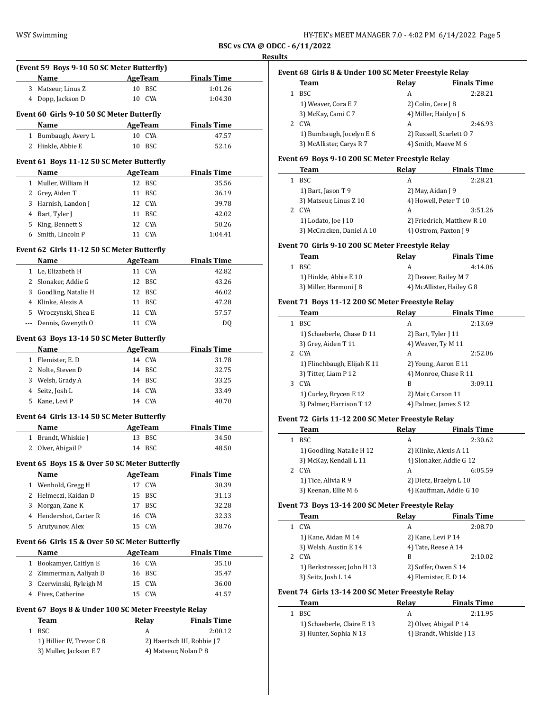| HY-TEK's MEET MANAGER 7.0 - 4:02 PM 6/14/2022 Page 5 |  |  |
|------------------------------------------------------|--|--|
|------------------------------------------------------|--|--|

| (Event 59 Boys 9-10 50 SC Meter Butterfly)<br>Name           |        | <b>AgeTeam</b> | <b>Finals Time</b>                     |
|--------------------------------------------------------------|--------|----------------|----------------------------------------|
| 3 Matseur, Linus Z                                           |        | 10 BSC         | 1:01.26                                |
| 4 Dopp, Jackson D                                            |        | 10 CYA         | 1:04.30                                |
|                                                              |        |                |                                        |
| Event 60 Girls 9-10 50 SC Meter Butterfly                    |        |                |                                        |
| Name                                                         |        | AgeTeam        | <b>Finals Time</b>                     |
| 1 Bumbaugh, Avery L                                          |        | 10 CYA         | 47.57                                  |
| 2 Hinkle, Abbie E                                            |        | 10 BSC         | 52.16                                  |
| Event 61 Boys 11-12 50 SC Meter Butterfly                    |        |                |                                        |
| Name                                                         |        | <b>AgeTeam</b> | <b>Finals Time</b>                     |
| 1 Muller, William H                                          |        | 12 BSC         | 35.56                                  |
| 2 Grey, Aiden T                                              |        | 11 BSC         | 36.19                                  |
| 3 Harnish, Landon J                                          |        | 12 CYA         | 39.78                                  |
| 4 Bart, Tyler J                                              |        | 11 BSC         | 42.02                                  |
| 5 King, Bennett S                                            |        | 12 CYA         | 50.26                                  |
| 6 Smith. Lincoln P                                           |        | 11 CYA         | 1:04.41                                |
|                                                              |        |                |                                        |
| Event 62 Girls 11-12 50 SC Meter Butterfly                   |        |                |                                        |
| Name                                                         |        | <b>AgeTeam</b> | <b>Finals Time</b>                     |
| 1 Le, Elizabeth H                                            |        | 11 CYA         | 42.82                                  |
| 2 Slonaker, Addie G                                          |        | 12 BSC         | 43.26                                  |
| 3 Goodling, Natalie H                                        |        | 12 BSC         | 46.02                                  |
| 4 Klinke, Alexis A                                           |        | 11 BSC         | 47.28                                  |
| 5 Wroczynski, Shea E                                         |        | 11 CYA         | 57.57                                  |
| Dennis, Gwenyth O                                            |        | 11 CYA         | DQ                                     |
|                                                              |        |                |                                        |
| Event 63 Boys 13-14 50 SC Meter Butterfly                    |        |                |                                        |
| <b>Name</b>                                                  |        | <b>AgeTeam</b> | <b>Finals Time</b>                     |
| 1 Flemister, E.D                                             |        | 14 CYA         | 31.78                                  |
| 2 Nolte, Steven D                                            |        | 14 BSC         | 32.75                                  |
| 3 Welsh, Grady A                                             |        | 14 BSC         | 33.25                                  |
| 4 Seitz, Josh L                                              |        | 14 CYA         | 33.49                                  |
| 5 Kane, Levi P                                               |        | 14 CYA         | 40.70                                  |
| Event 64 Girls 13-14 50 SC Meter Butterfly                   |        |                |                                        |
| Name                                                         |        | <b>AgeTeam</b> | <b>Finals Time</b>                     |
| 1 Brandt, Whiskie J                                          | 13     | BSC            | 34.50                                  |
| 2 Olver, Abigail P                                           |        | 14 BSC         | 48.50                                  |
|                                                              |        |                |                                        |
| Event 65 Boys 15 & Over 50 SC Meter Butterfly                |        |                |                                        |
| Name                                                         |        | <b>AgeTeam</b> | <b>Finals Time</b>                     |
| 1 Wenhold, Gregg H                                           | 17     | CYA            | 30.39                                  |
| 2 Helmeczi, Kaidan D                                         | 15     | BSC            | 31.13                                  |
| 3 Morgan, Zane K                                             | 17     | BSC            | 32.28                                  |
| 4 Hendershot, Carter R                                       | 16     | <b>CYA</b>     | 32.33                                  |
| 5 Arutyunov, Alex                                            | 15     | CYA            | 38.76                                  |
| Event 66 Girls 15 & Over 50 SC Meter Butterfly               |        |                |                                        |
|                                                              |        | <b>AgeTeam</b> |                                        |
| Name                                                         |        |                | <b>Finals Time</b>                     |
|                                                              |        |                | 35.10                                  |
| 1 Bookamyer, Caitlyn E                                       | 16 CYA |                | 35.47                                  |
| 2 Zimmerman, Aaliyah D                                       |        | 16 BSC         |                                        |
| 3 Czerwinski, Ryleigh M                                      |        | 15 CYA         | 36.00                                  |
| 4 Fives, Catherine                                           |        | 15 CYA         | 41.57                                  |
|                                                              |        |                |                                        |
| Event 67 Boys 8 & Under 100 SC Meter Freestyle Relay<br>Team |        |                |                                        |
|                                                              |        | Relay          | <b>Finals Time</b>                     |
| 1 BSC<br>1) Hillier IV, Trevor C 8                           |        | А              | 2:00.12<br>2) Haertsch III, Robbie J 7 |

# **Results Event 68 Girls 8 & Under 100 SC Meter Freestyle Relay**

| Event 68 Girls 8 & Under 100 SC Meter Freestyle Relay |                          |                         |                       |  |
|-------------------------------------------------------|--------------------------|-------------------------|-----------------------|--|
|                                                       | Team                     | Relay                   | <b>Finals Time</b>    |  |
|                                                       | <b>BSC</b>               | A                       | 2:28.21               |  |
|                                                       | 1) Weaver, Cora E 7      | 2) Colin, Cece J 8      |                       |  |
|                                                       | 3) McKay, Cami C 7       |                         | 4) Miller, Haidyn J 6 |  |
| 2                                                     | CYA                      | A                       | 2:46.93               |  |
|                                                       | 1) Bumbaugh, Jocelyn E 6 | 2) Russell, Scarlett 07 |                       |  |
|                                                       | 3) McAllister, Carys R 7 |                         | 4) Smith, Maeve M 6   |  |
|                                                       |                          |                         |                       |  |

# **Event 69 Boys 9-10 200 SC Meter Freestyle Relay**

| Team                      | Relay             | <b>Finals Time</b>         |
|---------------------------|-------------------|----------------------------|
| BSC.                      | А                 | 2:28.21                    |
| 1) Bart, Jason T 9        | 2) May, Aidan J 9 |                            |
| 3) Matseur, Linus Z 10    |                   | 4) Howell, Peter T 10      |
| <b>CYA</b><br>2           | А                 | 3:51.26                    |
| 1) Lodato, Joe J 10       |                   | 2) Friedrich, Matthew R 10 |
| 3) McCracken, Daniel A 10 |                   | 4) Ostrom, Paxton J 9      |

#### **Event 70 Girls 9-10 200 SC Meter Freestyle Relay**

| Team                   | Relav                     | <b>Finals Time</b> |
|------------------------|---------------------------|--------------------|
| - BSC                  |                           | 4:14.06            |
| 1) Hinkle, Abbie E 10  | 2) Deaver, Bailey M 7     |                    |
| 3) Miller, Harmoni J 8 | 4) McAllister, Hailey G 8 |                    |

# **Event 71 Boys 11-12 200 SC Meter Freestyle Relay**

|   | Team                        | Relay                 | <b>Finals Time</b> |
|---|-----------------------------|-----------------------|--------------------|
| 1 | <b>BSC</b>                  | A                     | 2:13.69            |
|   | 1) Schaeberle, Chase D 11   | 2) Bart, Tyler $[11]$ |                    |
|   | 3) Grey, Aiden T 11         | 4) Weaver, Ty M 11    |                    |
|   | 2 CYA                       | A                     | 2:52.06            |
|   | 1) Flinchbaugh, Elijah K 11 | 2) Young, Aaron E 11  |                    |
|   | 3) Titter, Liam P 12        | 4) Monroe, Chase R 11 |                    |
| 3 | <b>CYA</b>                  | B                     | 3:09.11            |
|   | 1) Curley, Brycen E 12      | 2) Mair, Carson 11    |                    |
|   | 3) Palmer, Harrison T 12    | 4) Palmer, James S 12 |                    |

#### **Event 72 Girls 11-12 200 SC Meter Freestyle Relay**

|    | Team                      | Relay | <b>Finals Time</b>      |
|----|---------------------------|-------|-------------------------|
|    | <b>BSC</b>                | А     | 2:30.62                 |
|    | 1) Goodling, Natalie H 12 |       | 2) Klinke, Alexis A 11  |
|    | 3) McKay, Kendall L 11    |       | 4) Slonaker, Addie G 12 |
| 2. | <b>CYA</b>                | А     | 6:05.59                 |
|    | 1) Tice, Alivia R 9       |       | 2) Dietz, Braelyn L 10  |
|    | 3) Keenan, Ellie M 6      |       | 4) Kauffman, Addie G 10 |

# **Event 73 Boys 13-14 200 SC Meter Freestyle Relay**

|    | Team                       | Relay                 | <b>Finals Time</b> |
|----|----------------------------|-----------------------|--------------------|
|    | <b>CYA</b>                 | А                     | 2:08.70            |
|    | 1) Kane, Aidan M 14        | 2) Kane, Levi P 14    |                    |
|    | 3) Welsh, Austin E 14      | 4) Tate, Reese A 14   |                    |
| 2. | <b>CYA</b>                 | В                     | 2:10.02            |
|    | 1) Berkstresser, John H 13 | 2) Soffer, Owen S 14  |                    |
|    | 3) Seitz, Josh L 14        | 4) Flemister, E. D 14 |                    |
|    |                            |                       |                    |

# **Event 74 Girls 13-14 200 SC Meter Freestyle Relay**

|    | Team                       | Relav | <b>Finals Time</b>      |
|----|----------------------------|-------|-------------------------|
| 1. | -BSC                       | A     | 2:11.95                 |
|    | 1) Schaeberle, Claire E 13 |       | 2) Olver, Abigail P 14  |
|    | 3) Hunter, Sophia N 13     |       | 4) Brandt, Whiskie J 13 |